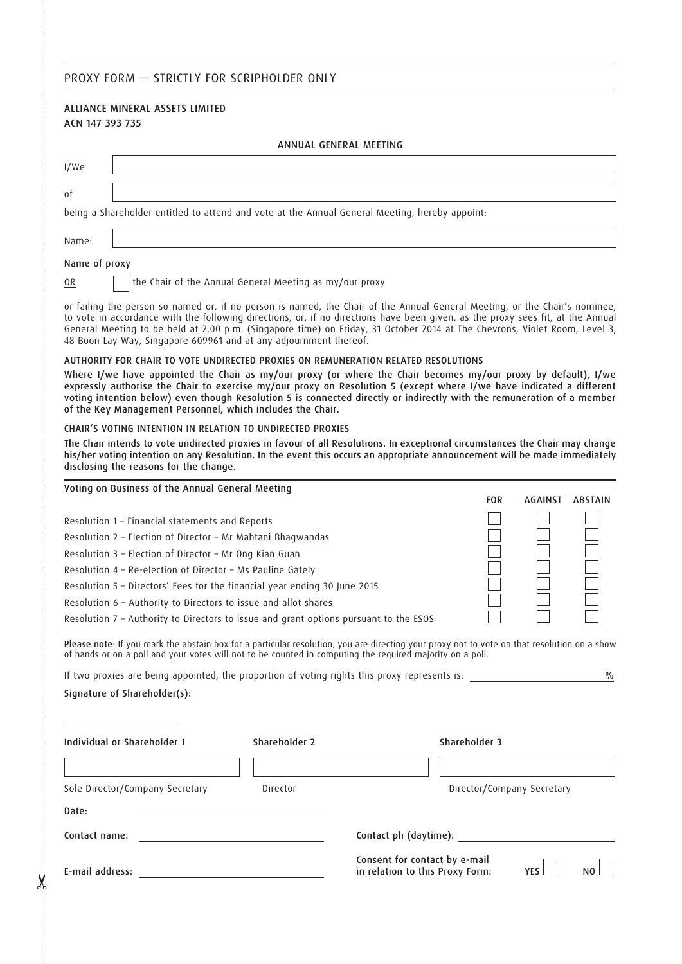## PROXY FORM — STRICTLY FOR SCRIPHOLDER ONLY

# ALLIANCE MINERAL ASSETS LIMITED ACN 147 393 735 ANNUAL GENERAL MEETING I/We of being a Shareholder entitled to attend and vote at the Annual General Meeting, hereby appoint: Name: Name of proxy OR  $\Box$  the Chair of the Annual General Meeting as my/our proxy or failing the person so named or, if no person is named, the Chair of the Annual General Meeting, or the Chair's nominee, to vote in accordance with the following directions, or, if no directions have been given, as the proxy sees fit, at the Annual General Meeting to be held at 2.00 p.m. (Singapore time) on Friday, 31 October 2014 at The Chevrons, Violet Room, Level 3, 48 Boon Lay Way, Singapore 609961 and at any adjournment thereof. AUTHORITY FOR CHAIR TO VOTE UNDIRECTED PROXIES ON REMUNERATION RELATED RESOLUTIONS Where I/we have appointed the Chair as my/our proxy (or where the Chair becomes my/our proxy by default), I/we expressly authorise the Chair to exercise my/our proxy on Resolution 5 (except where I/we have indicated a different voting intention below) even though Resolution 5 is connected directly or indirectly with the remuneration of a member of the Key Management Personnel, which includes the Chair. CHAIR'S VOTING INTENTION IN RELATION TO UNDIRECTED PROXIES The Chair intends to vote undirected proxies in favour of all Resolutions. In exceptional circumstances the Chair may change his/her voting intention on any Resolution. In the event this occurs an appropriate announcement will be made immediately disclosing the reasons for the change. Voting on Business of the Annual General Meeting FOR AGAINST ABSTAIN Resolution 1 – Financial statements and Reports Resolution 2 – Election of Director – Mr Mahtani Bhagwandas

Resolution 3 – Election of Director – Mr Ong Kian Guan

Resolution 4 – Re-election of Director – Ms Pauline Gately

Resolution 5 – Directors' Fees for the financial year ending 30 June 2015 Resolution 6 – Authority to Directors to issue and allot shares

Resolution 7 – Authority to Directors to issue and grant options pursuant to the ESOS

Please note: If you mark the abstain box for a particular resolution, you are directing your proxy not to vote on that resolution on a show of hands or on a poll and your votes will not to be counted in computing the required majority on a poll.

| If two proxies are being appointed, the proportion of voting rights this proxy represents is: |  |
|-----------------------------------------------------------------------------------------------|--|
| Signature of Shareholder(s):                                                                  |  |

| Individual or Shareholder 1     | Shareholder 2 | Shareholder 3                                                                                    |
|---------------------------------|---------------|--------------------------------------------------------------------------------------------------|
| Sole Director/Company Secretary | Director      | Director/Company Secretary                                                                       |
| Date:                           |               |                                                                                                  |
| Contact name:                   |               | Contact ph (daytime): _____________                                                              |
| E-mail address:                 |               | Consent for contact by e-mail<br>in relation to this Proxy Form:<br>N <sub>0</sub><br><b>YFS</b> |